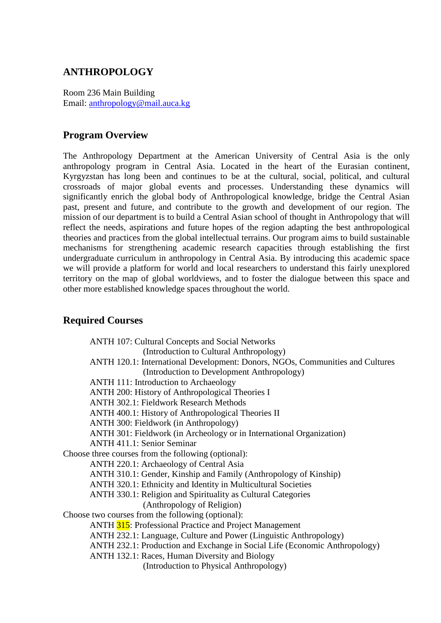# **ANTHROPOLOGY**

Room 236 Main Building Email: anthropology@mail.auca.kg

# **Program Overview**

The Anthropology Department at the American University of Central Asia is the only anthropology program in Central Asia. Located in the heart of the Eurasian continent, Kyrgyzstan has long been and continues to be at the cultural, social, political, and cultural crossroads of major global events and processes. Understanding these dynamics will significantly enrich the global body of Anthropological knowledge, bridge the Central Asian past, present and future, and contribute to the growth and development of our region. The mission of our department is to build a Central Asian school of thought in Anthropology that will reflect the needs, aspirations and future hopes of the region adapting the best anthropological theories and practices from the global intellectual terrains. Our program aims to build sustainable mechanisms for strengthening academic research capacities through establishing the first undergraduate curriculum in anthropology in Central Asia. By introducing this academic space we will provide a platform for world and local researchers to understand this fairly unexplored territory on the map of global worldviews, and to foster the dialogue between this space and other more established knowledge spaces throughout the world.

# **Required Courses**

| ANTH 120.1: International Development: Donors, NGOs, Communities and Cultures |
|-------------------------------------------------------------------------------|
|                                                                               |
|                                                                               |
|                                                                               |
|                                                                               |
|                                                                               |
|                                                                               |
|                                                                               |
|                                                                               |
|                                                                               |
|                                                                               |
|                                                                               |
|                                                                               |
|                                                                               |
|                                                                               |
|                                                                               |
|                                                                               |
|                                                                               |
|                                                                               |
|                                                                               |
|                                                                               |
|                                                                               |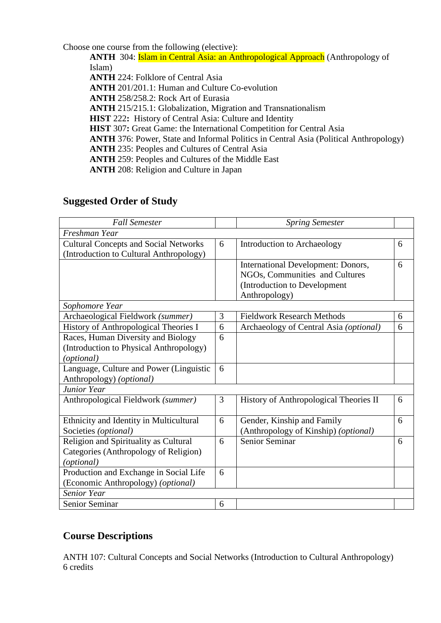Choose one course from the following (elective):

**ANTH** 304: **Islam in Central Asia: an Anthropological Approach** (Anthropology of Islam) **ANTH** 224: Folklore of Central Asia **ANTH** 201/201.1: Human and Culture Co-evolution **ANTH** 258/258.2: Rock Art of Eurasia **ANTH** 215/215.1: Globalization, Migration and Transnationalism **HIST** 222**:** History of Central Asia: Culture and Identity **HIST** 307: Great Game: the International Competition for Central Asia **ANTH** 376: Power, State and Informal Politics in Central Asia (Political Anthropology) **ANTH** 235: Peoples and Cultures of Central Asia **ANTH** 259: Peoples and Cultures of the Middle East

**ANTH** 208: Religion and Culture in Japan

# **Suggested Order of Study**

| <b>Fall Semester</b>                         |   | <b>Spring Semester</b>                 |   |
|----------------------------------------------|---|----------------------------------------|---|
| Freshman Year                                |   |                                        |   |
| <b>Cultural Concepts and Social Networks</b> | 6 | Introduction to Archaeology            | 6 |
| (Introduction to Cultural Anthropology)      |   |                                        |   |
|                                              |   | International Development: Donors,     | 6 |
|                                              |   | NGOs, Communities and Cultures         |   |
|                                              |   | (Introduction to Development           |   |
|                                              |   | Anthropology)                          |   |
| Sophomore Year                               |   |                                        |   |
| Archaeological Fieldwork (summer)            | 3 | <b>Fieldwork Research Methods</b>      | 6 |
| History of Anthropological Theories I        | 6 | Archaeology of Central Asia (optional) | 6 |
| Races, Human Diversity and Biology           | 6 |                                        |   |
| (Introduction to Physical Anthropology)      |   |                                        |   |
| (optional)                                   |   |                                        |   |
| Language, Culture and Power (Linguistic      | 6 |                                        |   |
| Anthropology) (optional)                     |   |                                        |   |
| <b>Junior Year</b>                           |   |                                        |   |
| Anthropological Fieldwork (summer)           | 3 | History of Anthropological Theories II | 6 |
|                                              |   |                                        |   |
| Ethnicity and Identity in Multicultural      | 6 | Gender, Kinship and Family             | 6 |
| Societies (optional)                         |   | (Anthropology of Kinship) (optional)   |   |
| Religion and Spirituality as Cultural        | 6 | <b>Senior Seminar</b>                  | 6 |
| Categories (Anthropology of Religion)        |   |                                        |   |
| (optional)                                   |   |                                        |   |
| Production and Exchange in Social Life       | 6 |                                        |   |
| (Economic Anthropology) (optional)           |   |                                        |   |
| Senior Year                                  |   |                                        |   |
| Senior Seminar                               | 6 |                                        |   |

# **Course Descriptions**

ANTH 107: Cultural Concepts and Social Networks (Introduction to Cultural Anthropology) 6 credits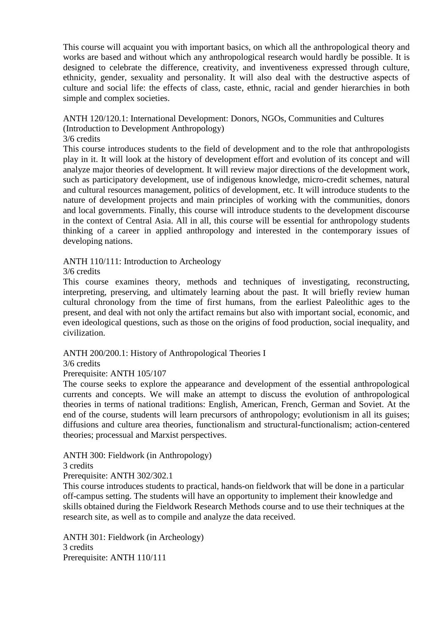This course will acquaint you with important basics, on which all the anthropological theory and works are based and without which any anthropological research would hardly be possible. It is designed to celebrate the difference, creativity, and inventiveness expressed through culture, ethnicity, gender, sexuality and personality. It will also deal with the destructive aspects of culture and social life: the effects of class, caste, ethnic, racial and gender hierarchies in both simple and complex societies.

# ANTH 120/120.1: International Development: Donors, NGOs, Communities and Cultures

# (Introduction to Development Anthropology)

## 3/6 credits

This course introduces students to the field of development and to the role that anthropologists play in it. It will look at the history of development effort and evolution of its concept and will analyze major theories of development. It will review major directions of the development work, such as participatory development, use of indigenous knowledge, micro-credit schemes, natural and cultural resources management, politics of development, etc. It will introduce students to the nature of development projects and main principles of working with the communities, donors and local governments. Finally, this course will introduce students to the development discourse in the context of Central Asia. All in all, this course will be essential for anthropology students thinking of a career in applied anthropology and interested in the contemporary issues of developing nations.

# ANTH 110/111: Introduction to Archeology

# 3/6 credits

This course examines theory, methods and techniques of investigating, reconstructing, interpreting, preserving, and ultimately learning about the past. It will briefly review human cultural chronology from the time of first humans, from the earliest Paleolithic ages to the present, and deal with not only the artifact remains but also with important social, economic, and even ideological questions, such as those on the origins of food production, social inequality, and civilization.

# ANTH 200/200.1: History of Anthropological Theories I

#### 3/6 credits

# Prerequisite: ANTH 105/107

The course seeks to explore the appearance and development of the essential anthropological currents and concepts. We will make an attempt to discuss the evolution of anthropological theories in terms of national traditions: English, American, French, German and Soviet. At the end of the course, students will learn precursors of anthropology; evolutionism in all its guises; diffusions and culture area theories, functionalism and structural-functionalism; action-centered theories; processual and Marxist perspectives.

# ANTH 300: Fieldwork (in Anthropology)

# 3 credits

Prerequisite: ANTH 302/302.1

This course introduces students to practical, hands-on fieldwork that will be done in a particular off-campus setting. The students will have an opportunity to implement their knowledge and skills obtained during the Fieldwork Research Methods course and to use their techniques at the research site, as well as to compile and analyze the data received.

ANTH 301: Fieldwork (in Archeology) 3 credits Prerequisite: ANTH 110/111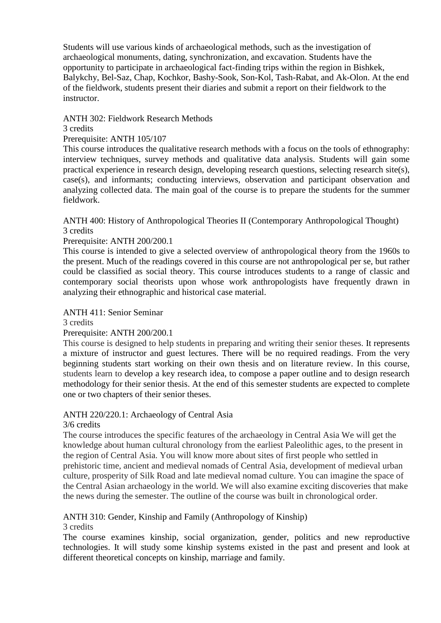Students will use various kinds of archaeological methods, such as the investigation of archaeological monuments, dating, synchronization, and excavation. Students have the opportunity to participate in archaeological fact-finding trips within the region in Bishkek, Balykchy, Bel-Saz, Chap, Kochkor, Bashy-Sook, Son-Kol, Tash-Rabat, and Ak-Olon. At the end of the fieldwork, students present their diaries and submit a report on their fieldwork to the instructor.

# ANTH 302: Fieldwork Research Methods

# 3 credits

## Prerequisite: ANTH 105/107

This course introduces the qualitative research methods with a focus on the tools of ethnography: interview techniques, survey methods and qualitative data analysis. Students will gain some practical experience in research design, developing research questions, selecting research site(s), case(s), and informants; conducting interviews, observation and participant observation and analyzing collected data. The main goal of the course is to prepare the students for the summer fieldwork.

ANTH 400: History of Anthropological Theories II (Contemporary Anthropological Thought) 3 credits

#### Prerequisite: ANTH 200/200.1

This course is intended to give a selected overview of anthropological theory from the 1960s to the present. Much of the readings covered in this course are not anthropological per se, but rather could be classified as social theory. This course introduces students to a range of classic and contemporary social theorists upon whose work anthropologists have frequently drawn in analyzing their ethnographic and historical case material.

#### ANTH 411: Senior Seminar

3 credits

Prerequisite: ANTH 200/200.1

This course is designed to help students in preparing and writing their senior theses. It represents a mixture of instructor and guest lectures. There will be no required readings. From the very beginning students start working on their own thesis and on literature review. In this course, students learn to develop a key research idea, to compose a paper outline and to design research methodology for their senior thesis. At the end of this semester students are expected to complete one or two chapters of their senior theses.

# ANTH 220/220.1: Archaeology of Central Asia

#### 3/6 credits

The course introduces the specific features of the archaeology in Central Asia We will get the knowledge about human cultural chronology from the earliest Paleolithic ages, to the present in the region of Central Asia. You will know more about sites of first people who settled in prehistoric time, ancient and medieval nomads of Central Asia, development of medieval urban culture, prosperity of Silk Road and late medieval nomad culture. You can imagine the space of the Central Asian archaeology in the world. We will also examine exciting discoveries that make the news during the semester. The outline of the course was built in chronological order.

# ANTH 310: Gender, Kinship and Family (Anthropology of Kinship)

#### 3 credits

The course examines kinship, social organization, gender, politics and new reproductive technologies. It will study some kinship systems existed in the past and present and look at different theoretical concepts on kinship, marriage and family.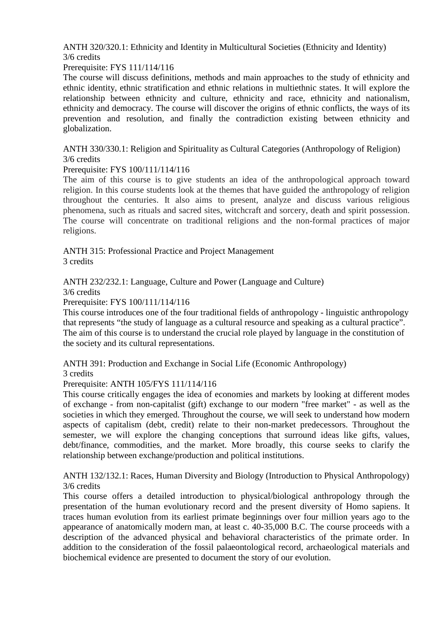ANTH 320/320.1: Ethnicity and Identity in Multicultural Societies (Ethnicity and Identity) 3/6 credits

#### Prerequisite: FYS 111/114/116

The course will discuss definitions, methods and main approaches to the study of ethnicity and ethnic identity, ethnic stratification and ethnic relations in multiethnic states. It will explore the relationship between ethnicity and culture, ethnicity and race, ethnicity and nationalism, ethnicity and democracy. The course will discover the origins of ethnic conflicts, the ways of its prevention and resolution, and finally the contradiction existing between ethnicity and globalization.

ANTH 330/330.1: Religion and Spirituality as Cultural Categories (Anthropology of Religion) 3/6 credits

#### Prerequisite: FYS 100/111/114/116

The aim of this course is to give students an idea of the anthropological approach toward religion. In this course students look at the themes that have guided the anthropology of religion throughout the centuries. It also aims to present, analyze and discuss various religious phenomena, such as rituals and sacred sites, witchcraft and sorcery, death and spirit possession. The course will concentrate on traditional religions and the non-formal practices of major religions.

ANTH 315: Professional Practice and Project Management 3 credits

ANTH 232/232.1: Language, Culture and Power (Language and Culture)

3/6 credits

Prerequisite: FYS 100/111/114/116

This course introduces one of the four traditional fields of anthropology - linguistic anthropology that represents "the study of language as a cultural resource and speaking as a cultural practice". The aim of this course is to understand the crucial role played by language in the constitution of the society and its cultural representations.

ANTH 391: Production and Exchange in Social Life (Economic Anthropology)

3 credits

Prerequisite: ANTH 105/FYS 111/114/116

This course critically engages the idea of economies and markets by looking at different modes of exchange - from non-capitalist (gift) exchange to our modern "free market" - as well as the societies in which they emerged. Throughout the course, we will seek to understand how modern aspects of capitalism (debt, credit) relate to their non-market predecessors. Throughout the semester, we will explore the changing conceptions that surround ideas like gifts, values, debt/finance, commodities, and the market. More broadly, this course seeks to clarify the relationship between exchange/production and political institutions.

ANTH 132/132.1: Races, Human Diversity and Biology (Introduction to Physical Anthropology) 3/6 credits

This course offers a detailed introduction to physical/biological anthropology through the presentation of the human evolutionary record and the present diversity of Homo sapiens. It traces human evolution from its earliest primate beginnings over four million years ago to the appearance of anatomically modern man, at least c. 40-35,000 B.C. The course proceeds with a description of the advanced physical and behavioral characteristics of the primate order. In addition to the consideration of the fossil palaeontological record, archaeological materials and biochemical evidence are presented to document the story of our evolution.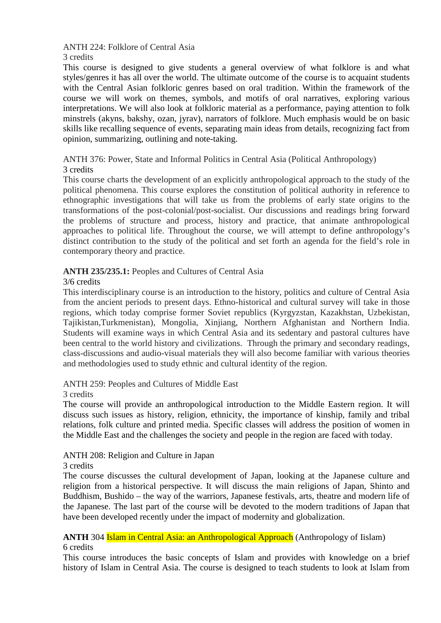ANTH 224: Folklore of Central Asia

3 credits

This course is designed to give students a general overview of what folklore is and what styles/genres it has all over the world. The ultimate outcome of the course is to acquaint students with the Central Asian folkloric genres based on oral tradition. Within the framework of the course we will work on themes, symbols, and motifs of oral narratives, exploring various interpretations. We will also look at folkloric material as a performance, paying attention to folk minstrels (akyns, bakshy, ozan, jyrav), narrators of folklore. Much emphasis would be on basic skills like recalling sequence of events, separating main ideas from details, recognizing fact from opinion, summarizing, outlining and note-taking.

ANTH 376: Power, State and Informal Politics in Central Asia (Political Anthropology) 3 credits

This course charts the development of an explicitly anthropological approach to the study of the political phenomena. This course explores the constitution of political authority in reference to ethnographic investigations that will take us from the problems of early state origins to the transformations of the post-colonial/post-socialist. Our discussions and readings bring forward the problems of structure and process, history and practice, that animate anthropological approaches to political life. Throughout the course, we will attempt to define anthropology's distinct contribution to the study of the political and set forth an agenda for the field's role in contemporary theory and practice.

# **ANTH 235/235.1:** Peoples and Cultures of Central Asia

#### 3/6 credits

This interdisciplinary course is an introduction to the history, politics and culture of Central Asia from the ancient periods to present days. Ethno-historical and cultural survey will take in those regions, which today comprise former Soviet republics (Kyrgyzstan, Kazakhstan, Uzbekistan, Tajikistan,Turkmenistan), Mongolia, Xinjiang, Northern Afghanistan and Northern India. Students will examine ways in which Central Asia and its sedentary and pastoral cultures have been central to the world history and civilizations. Through the primary and secondary readings, class-discussions and audio-visual materials they will also become familiar with various theories and methodologies used to study ethnic and cultural identity of the region.

ANTH 259: Peoples and Cultures of Middle East

3 credits

The course will provide an anthropological introduction to the Middle Eastern region. It will discuss such issues as history, religion, ethnicity, the importance of kinship, family and tribal relations, folk culture and printed media. Specific classes will address the position of women in the Middle East and the challenges the society and people in the region are faced with today.

# ANTH 208: Religion and Culture in Japan

3 credits

The course discusses the cultural development of Japan, looking at the Japanese culture and religion from a historical perspective. It will discuss the main religions of Japan, Shinto and Buddhism, Bushido – the way of the warriors, Japanese festivals, arts, theatre and modern life of the Japanese. The last part of the course will be devoted to the modern traditions of Japan that have been developed recently under the impact of modernity and globalization.

## **ANTH** 304 **Islam in Central Asia: an Anthropological Approach** (Anthropology of Iislam) 6 credits

This course introduces the basic concepts of Islam and provides with knowledge on a brief history of Islam in Central Asia. The course is designed to teach students to look at Islam from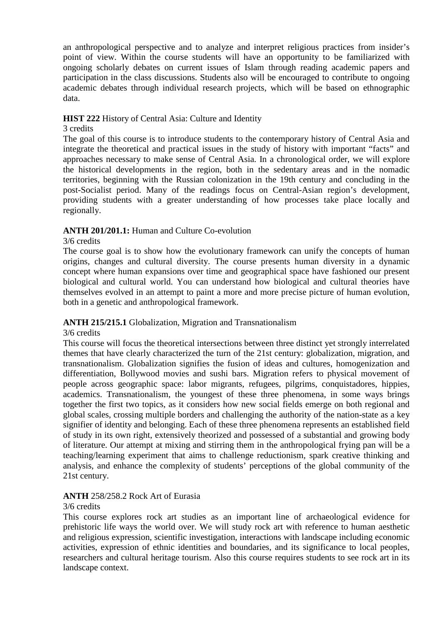an anthropological perspective and to analyze and interpret religious practices from insider's point of view. Within the course students will have an opportunity to be familiarized with ongoing scholarly debates on current issues of Islam through reading academic papers and participation in the class discussions. Students also will be encouraged to contribute to ongoing academic debates through individual research projects, which will be based on ethnographic data.

# **HIST 222** History of Central Asia: Culture and Identity

## 3 credits

The goal of this course is to introduce students to the contemporary history of Central Asia and integrate the theoretical and practical issues in the study of history with important "facts" and approaches necessary to make sense of Central Asia. In a chronological order, we will explore the historical developments in the region, both in the sedentary areas and in the nomadic territories, beginning with the Russian colonization in the 19th century and concluding in the post-Socialist period. Many of the readings focus on Central-Asian region's development, providing students with a greater understanding of how processes take place locally and regionally.

# **ANTH 201/201.1:** Human and Culture Co-evolution

#### 3/6 credits

The course goal is to show how the evolutionary framework can unify the concepts of human origins, changes and cultural diversity. The course presents human diversity in a dynamic concept where human expansions over time and geographical space have fashioned our present biological and cultural world. You can understand how biological and cultural theories have themselves evolved in an attempt to paint a more and more precise picture of human evolution, both in a genetic and anthropological framework.

# **ANTH 215/215.1** Globalization, Migration and Transnationalism

#### 3/6 credits

This course will focus the theoretical intersections between three distinct yet strongly interrelated themes that have clearly characterized the turn of the 21st century: globalization, migration, and transnationalism. Globalization signifies the fusion of ideas and cultures, homogenization and differentiation, Bollywood movies and sushi bars. Migration refers to physical movement of people across geographic space: labor migrants, refugees, pilgrims, conquistadores, hippies, academics. Transnationalism, the youngest of these three phenomena, in some ways brings together the first two topics, as it considers how new social fields emerge on both regional and global scales, crossing multiple borders and challenging the authority of the nation-state as a key signifier of identity and belonging. Each of these three phenomena represents an established field of study in its own right, extensively theorized and possessed of a substantial and growing body of literature. Our attempt at mixing and stirring them in the anthropological frying pan will be a teaching/learning experiment that aims to challenge reductionism, spark creative thinking and analysis, and enhance the complexity of students' perceptions of the global community of the 21st century.

# **ANTH** 258/258.2 Rock Art of Eurasia

#### 3/6 credits

This course explores rock art studies as an important line of archaeological evidence for prehistoric life ways the world over. We will study rock art with reference to human aesthetic and religious expression, scientific investigation, interactions with landscape including economic activities, expression of ethnic identities and boundaries, and its significance to local peoples, researchers and cultural heritage tourism. Also this course requires students to see rock art in its landscape context.